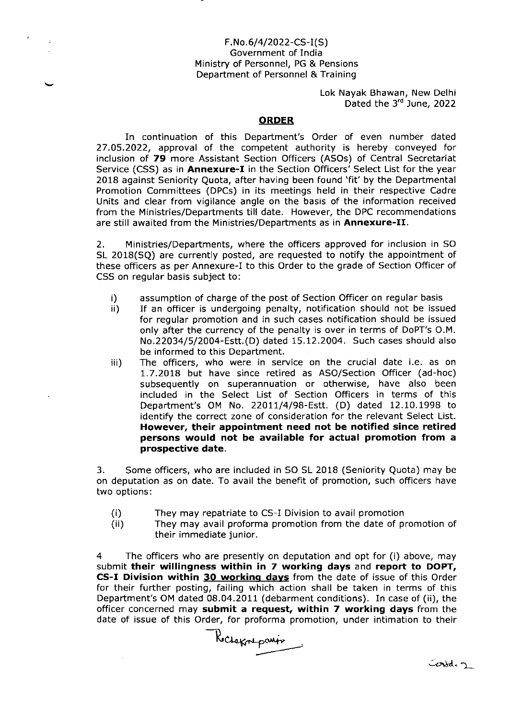### F.No.6/4/2022-CS-I(S) Government of India Ministry of Personnel, PG & Pensions Department of Personnel & Training

Lok Nayak Bhawan, New Delhi Dated the 3<sup>rd</sup> June, 2022

#### **ORDER**

In continuation of this Department's Order of even number dated 27.05.2022, approval of the competent authority is hereby conveyed for inclusion of 79 more Assistant Section Officers (ASOs) of Central Secretariat Service (CSS) as in **Annexure-I** in the Section Officers' Select List for the year 2018 against Seniority Quota, after having been found 'fit' by the Departmental Promotion Committees (DPCS) in its meetings held in their respective Cadre Units and clear from vigilance angle on the basis of the information received from the Ministries/Departments till date. However, the DPC recommendations are still awaited from the Ministries/Departments as in Annexure-II.

2. Ministries/Departments, where the officers approved for inclusion in SO SL 2018(SQ) are currently posted, are requested to notify the appointment of these officers as per Annexure-I to this Order to the grade of Section Officer of CSS on regular basis subject to:

- i) assumption of charge of the post of Section Officer on regular basis<br>ii) If an officer is undergoing penalty, notification should not be issu
- If an officer is undergoing penalty, notification should not be issued for regular promotion and in such cases notification should be issued only after the currency of the penalty is over in terms of DoPT's O.M. No.22034/5/2004- Estt. (D) dated 15.12.2004. Such cases should also be informed to this Department.
- iii) The officers, who were in service on the crucial date i.e. as on 7.7.20Ia but have since retired as Aso/Section Officer (ad-hoc) subsequently on superannuation or otherwise, have also been included in the Select List of Section Officers in terms of this Department's OM No. 22011/4/98-Estt. (D) dated 12.10.1998 to identify the correct zone of consideration for the relevant Select List. However, their appointment need not be notified since retired persons would not be available for actual promotion from a prospective date.

3. Some officers, who are included in SO SL 2018 (Seniority Quota) may be on deputation as on date. To avail the benefit of promotion, such officers have two options:

- They may repatriate to CS-I Division to avail promotion (i)
- They may avail proforma promotion from the date of promotion of their immediate junior.  $(ii)$

4 The officers who are presently on deputation and opt for (i) above. may submit their willingness within in 7 working days and report to DOPT, CS-I Division within 30 working days from the date of issue of this Order for their further posting, failing which action shall be taken in terms of this Department's OM dated 08.04.2011 (debarment conditions). In case of (ii), the officer concerned may submit a request, within 7 working days from the date of issue of this Order, for proforma promotion, under intimation to their

Kecheknepanin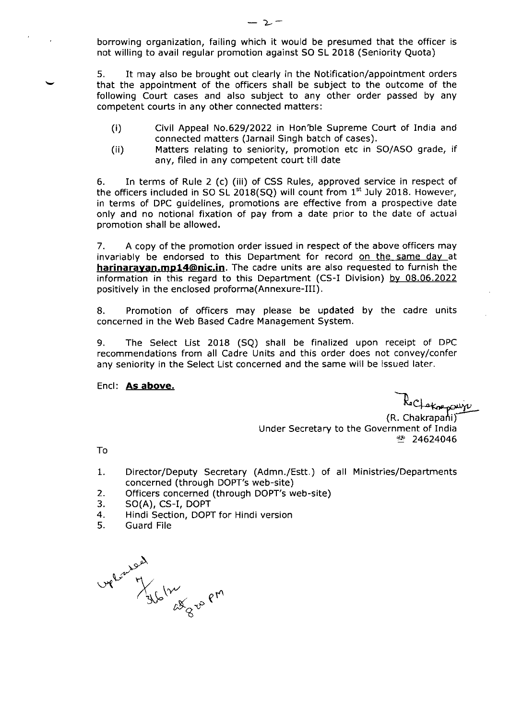borrowing organization, failing which it would be presumed that the officer ls not willing to avail regular promotion against SO SL 2018 (Seniority Quota)

5. It may also be brought out clearly in the Notification/appointment orders that the appointment of the officers shall be subject to the outcome of the following Court cases and also subject to any other order passed by any competent courts in any other connected matters:

- (i) Civil Appeal No.629/2022 in Hon'ble Supreme Court of India and connected matters (Jarnail Singh batch of cases).
- (ii) Matters relating to seniority, promotion etc in SO/ASO grade, if any, filed in any competent court till date

6. In terms of Rule 2 (c) (iii) of CSS Rules, approved service in respect of the officers included in SO SL 2018(SQ) will count from 1<sup>st</sup> July 2018. However, in terms of DPC guidelines, promotions are effective from a prospective date only and no notional fixation of pay from a date prior to the date of actual promotion shall be allowed.

7. A copy of the promotion order issued in respect of the above officers may invariably be endorsed to this Department for record on the same day at harinarayan.mp14@nic.in. The cadre units are also requested to furnish the information in this regard to this Department (CS-I Division) by 08.06.2022 positively in the enclosed proforma(Annexure-III).

8. Promotion of officers may please be updated by the cadre units concerned in the web Based Cadre Management System.

9. The Select List 2018 (SQ) shall be finalized upon receipt of DPC recommendations from all Cadre Units and this order does not convey/confer any seniority in the Select List concerned and the same will be issued later.

Encl: As above.

Reclamatiquip

(R. Chakrapani) Under Secretary to the Government of India  $24624046$ 

To

- Director/Deputy Secretary (Admn./Estt.) of all Ministries/Departments concerned (through DOPT's web-site) I
- Officers concerned (through DOPT's web-site) 2
- SO(A), CS-I, DOPT 3.
- Hindi Section, DOPT for Hindi version 4
- Guard File 5

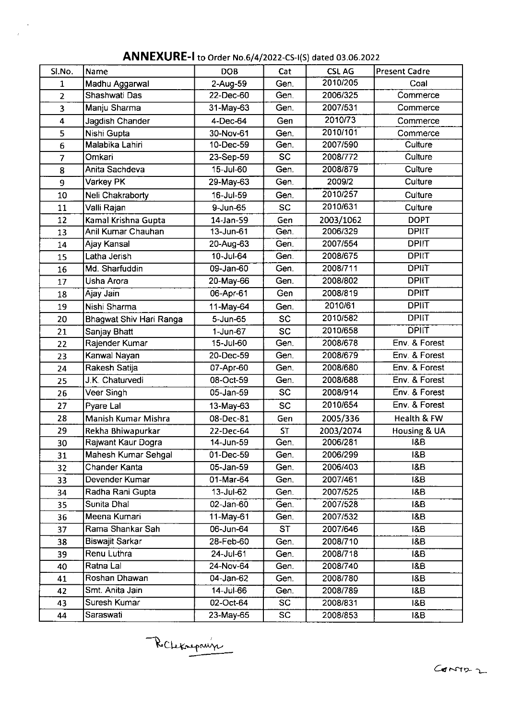| Sl.No.                  | Name                    | <b>DOB</b>                   | Cat       | <b>CSLAG</b> | <b>Present Cadre</b> |  |  |
|-------------------------|-------------------------|------------------------------|-----------|--------------|----------------------|--|--|
| $\mathbf{1}$            | Madhu Aggarwal          | 2-Aug-59<br>Gen.             |           | 2010/205     | Coal                 |  |  |
| $\overline{2}$          | Shashwati Das           | 22-Dec-60                    | Gen.      | 2006/325     | Commerce             |  |  |
| $\overline{\mathbf{3}}$ | Manju Sharma            | 31-May-63                    | Gen.      | 2007/531     | Commerce             |  |  |
| 4                       | Jagdish Chander         | 4-Dec-64                     | Gen       | 2010/73      | Commerce             |  |  |
| 5                       | Nishi Gupta             | 30-Nov-61                    | Gen.      | 2010/101     | Commerce             |  |  |
| 6                       | Malabika Lahiri         | 10-Dec-59                    | Gen.      | 2007/590     | Culture              |  |  |
| $\overline{7}$          | Omkari                  | $\overline{SC}$<br>23-Sep-59 |           | 2008/772     | Culture              |  |  |
| 8                       | Anita Sachdeva          | 15-Jul-60                    | Gen.      | 2008/879     | Culture              |  |  |
| 9                       | Varkey PK               | 29-May-63                    | Gen.      | 2009/2       | Culture              |  |  |
| 10                      | Neli Chakraborty        | 16-Jul-59                    | Gen.      | 2010/257     | Culture              |  |  |
| 11                      | Valli Rajan             | 9-Jun-65                     | <b>SC</b> | 2010/631     | Culture              |  |  |
| 12                      | Kamal Krishna Gupta     | 14-Jan-59                    | Gen       | 2003/1062    | <b>DOPT</b>          |  |  |
| 13                      | Anil Kumar Chauhan      | 13-Jun-61                    | Gen.      | 2006/329     | <b>DPIIT</b>         |  |  |
| 14                      | Ajay Kansal             | 20-Aug-63                    | Gen.      | 2007/554     | <b>DPIIT</b>         |  |  |
| 15                      | Latha Jerish            | $10 -$ Jul-64                | Gen.      | 2008/675     | <b>DPIIT</b>         |  |  |
| 16                      | Md. Sharfuddin          | 09-Jan-60                    | Gen.      | 2008/711     | <b>DPIIT</b>         |  |  |
| 17                      | Usha Arora              | 20-May-66                    | Gen.      | 2008/802     | <b>DPIIT</b>         |  |  |
| 18                      | Ajay Jain               | 06-Apr-61                    | Gen       | 2008/819     | <b>DPIIT</b>         |  |  |
| 19                      | Nishi Sharma            | 11-May-64                    | Gen.      | 2010/61      | <b>DPIIT</b>         |  |  |
| 20                      | Bhagwat Shiv Hari Ranga | 5-Jun-65                     | <b>SC</b> | 2010/582     | <b>DPIIT</b>         |  |  |
| 21                      | Sanjay Bhatt            | $1$ -Jun-67                  | <b>SC</b> | 2010/658     | <b>DPIIT</b>         |  |  |
| 22                      | Rajender Kumar          | 15-Jul-60                    | Gen.      | 2008/678     | Env. & Forest        |  |  |
| 23                      | Kanwal Nayan            | 20-Dec-59                    | Gen.      | 2008/679     | Env. & Forest        |  |  |
| 24                      | Rakesh Satija           | 07-Apr-60<br>Gen.            |           | 2008/680     | Env. & Forest        |  |  |
| 25                      | J.K. Chaturvedi         | 08-Oct-59                    | Gen.      | 2008/688     | Env. & Forest        |  |  |
| 26                      | Veer Singh              | 05-Jan-59<br><b>SC</b>       |           | 2008/914     | Env. & Forest        |  |  |
| 27                      | Pyare Lal               | 13-May-63                    | <b>SC</b> | 2010/654     | Env. & Forest        |  |  |
| 28                      | Manish Kumar Mishra     | 08-Dec-81                    | Gen       | 2005/336     | Health & FW          |  |  |
| 29                      | Rekha Bhiwapurkar       | 22-Dec-64                    | <b>ST</b> | 2003/2074    | Housing & UA         |  |  |
| 30                      | Rajwant Kaur Dogra      | 14-Jun-59                    | Gen.      | 2006/281     | <b>1&amp;B</b>       |  |  |
| 31                      | Mahesh Kumar Sehgal     | 01-Dec-59                    | Gen.      | 2006/299     | <b>I&amp;B</b>       |  |  |
| 32                      | Chander Kanta           | 05-Jan-59                    | Gen.      | 2006/403     | 1&B                  |  |  |
| 33                      | Devender Kumar          | 01-Mar-64                    | Gen.      | 2007/461     | <b>18B</b>           |  |  |
| 34                      | Radha Rani Gupta        | 13-Jul-62                    | Gen.      | 2007/525     | <b>1&amp;B</b>       |  |  |
| 35                      | Sunita Dhal             | 02-Jan-60                    | Gen.      | 2007/528     | <b>I&amp;B</b>       |  |  |
| 36                      | Meena Kumari            | 11-May-61                    | Gen.      | 2007/532     | 18B                  |  |  |
| 37                      | Rama Shankar Sah        | 06-Jun-64                    | <b>ST</b> | 2007/646     | <b>1&amp;B</b>       |  |  |
| 38                      | <b>Biswajit Sarkar</b>  | 28-Feb-60                    | Gen.      | 2008/710     | <b>I&amp;B</b>       |  |  |
| 39                      | Renu Luthra             | 24-Jul-61                    | Gen       | 2008/718     | <b>1&amp;B</b>       |  |  |
| 40                      | Ratna Lal               | 24-Nov-64                    | Gen.      | 2008/740     | 1&B                  |  |  |
| 41                      | Roshan Dhawan           | 04-Jan-62                    | Gen.      | 2008/780     | I&B                  |  |  |
| 42                      | Smt. Anita Jain         | 14-Jul-66                    | Gen.      | 2008/789     | <b>1&amp;B</b>       |  |  |
| 43                      | Suresh Kumar            | 02-Oct-64                    | <b>SC</b> | 2008/831     | <b>I&amp;B</b>       |  |  |
| 44                      | Saraswati               | 23-May-65                    | <b>SC</b> | 2008/853     | 18B                  |  |  |

ANNEXURE-I to Order No.6/4/2022-CS-I(S) dated 03.06.2022

 $\ddot{\phantom{a}}$ 

Rochetonpaux

 $G$   $G$   $M2 - 2$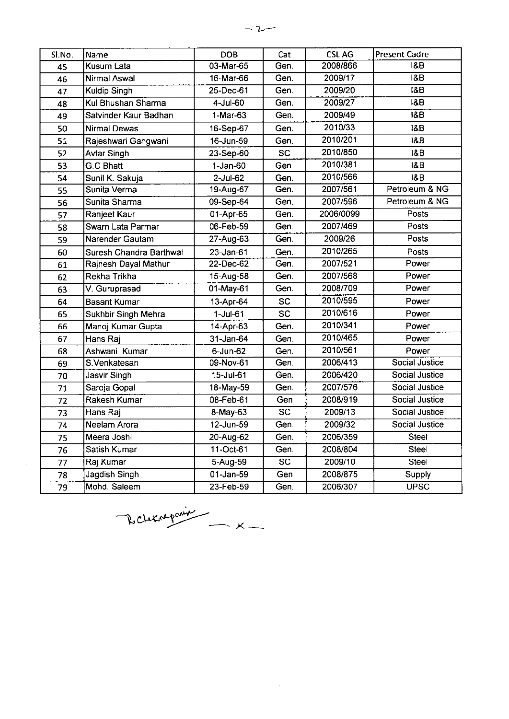| Sl.No. | Name                    | <b>DOB</b>           | Cat             | <b>CSLAG</b> | <b>Present Cadre</b> |  |  |
|--------|-------------------------|----------------------|-----------------|--------------|----------------------|--|--|
| 45     | Kusum Lata              | 03-Mar-65            | Gen.            | 2008/866     | 1&B                  |  |  |
| 46     | <b>Nirmal Aswal</b>     | 16-Mar-66            | Gen.            | 2009/17      | <b>1&amp;B</b>       |  |  |
| 47     | <b>Kuldip Singh</b>     | 25-Dec-61            | Gen.            | 2009/20      | <b>18B</b>           |  |  |
| 48     | Kul Bhushan Sharma      | 4-Jul-60             | Gen.            | 2009/27      | <b>1&amp;B</b>       |  |  |
| 49     | Satvinder Kaur Badhan   | 1-Mar-63             | Gen.            | 2009/49      | $\overline{18B}$     |  |  |
| 50     | <b>Nirmal Dewas</b>     | 16-Sep-67            | Gen.            | 2010/33      | <b>18B</b>           |  |  |
| 51     | Rajeshwari Gangwani     | 16-Jun-59            | Gen.            | 2010/201     | <b>1&amp;B</b>       |  |  |
| 52     | Avtar Singh             | 23-Sep-60            | <b>SC</b>       | 2010/850     | <b>I&amp;B</b>       |  |  |
| 53     | <b>G.C Bhatt</b>        | $1-Jan-60$           | Gen.            | 2010/381     | <b>I&amp;B</b>       |  |  |
| 54     | Sunil K. Sakuja         | $2$ -Jul-62          | Gen.            | 2010/566     | <b>I&amp;B</b>       |  |  |
| 55     | Sunita Verma            | 19-Aug-67            | Gen.            | 2007/561     | Petroleum & NG       |  |  |
| 56     | Sunita Sharma           | 09-Sep-64            | Gen.            | 2007/596     | Petroleum & NG       |  |  |
| 57     | Ranjeet Kaur            | 01-Apr-65            | Gen.            | 2006/0099    | Posts                |  |  |
| 58     | Swarn Lata Parmar       | 06-Feb-59            | Gen.            | 2007/469     | Posts                |  |  |
| 59     | Narender Gautam         | 27-Aug-63            | Gen.            | 2009/26      | Posts                |  |  |
| 60     | Suresh Chandra Barthwal | $23$ -Jan-61<br>Gen. |                 | 2010/265     | Posts                |  |  |
| 61     | Rajnesh Dayal Mathur    | 22-Dec-62            | Gen.            | 2007/521     | Power                |  |  |
| 62     | Rekha Trikha            | 15-Aug-58            | Gen.            | 2007/568     | Power                |  |  |
| 63     | V. Guruprasad           | 01-May-61            | Gen.            | 2008/709     | Power                |  |  |
| 64     | <b>Basant Kumar</b>     | 13-Apr-64            | <b>SC</b>       | 2010/595     | Power                |  |  |
| 65     | Sukhbir Singh Mehra     | $1-Jul-61$           | <b>SC</b>       | 2010/616     | Power                |  |  |
| 66     | Manoj Kumar Gupta       | 14-Apr-63            | Gen.            | 2010/341     | Power                |  |  |
| 67     | Hans Raj                | 31-Jan-64            | Gen.            | 2010/465     | Power                |  |  |
| 68     | Ashwani Kumar           | $6$ -Jun- $62$       | Gen.            | 2010/561     | Power                |  |  |
| 69     | S. Venkatesan           | 09-Nov-61            | Gen.            | 2006/413     | Social Justice       |  |  |
| 70     | Jasvir Singh            | 15-Jul-61            | Gen.            | 2006/420     | Social Justice       |  |  |
| 71     | Saroja Gopal            | 18-May-59            | Gen.            | 2007/576     | Social Justice       |  |  |
| 72     | Rakesh Kumar            | 08-Feb-61            | Gen             | 2008/919     | Social Justice       |  |  |
| 73     | Hans Rai                | $8-May-63$           | $\overline{SC}$ | 2009/13      | Social Justice       |  |  |
| 74     | Neelam Arora            | 12-Jun-59            | Gen.            | 2009/32      | Social Justice       |  |  |
| 75     | Meera Joshi             | 20-Aug-62            | Gen.            | 2006/359     | <b>Steel</b>         |  |  |
| 76     | Satish Kumar            | 11-Oct-61            | Gen.            | 2008/804     | Steel                |  |  |
| 77     | Raj Kumar               | 5-Aug-59             | <b>SC</b>       | 2009/10      | Steel                |  |  |
| 78     | Jagdish Singh           | $01-Jan-59$          | Gen             | 2008/875     | Supply               |  |  |
| 79     | Mohd. Saleem            | 23-Feb-59            | Gen.            | 2006/307     | <b>UPSC</b>          |  |  |

 $\label{eq:2.1} \frac{1}{\sqrt{2}}\left(\frac{1}{\sqrt{2}}\right)^{2} \left(\frac{1}{\sqrt{2}}\right)^{2} \left(\frac{1}{\sqrt{2}}\right)^{2} \left(\frac{1}{\sqrt{2}}\right)^{2} \left(\frac{1}{\sqrt{2}}\right)^{2} \left(\frac{1}{\sqrt{2}}\right)^{2} \left(\frac{1}{\sqrt{2}}\right)^{2} \left(\frac{1}{\sqrt{2}}\right)^{2} \left(\frac{1}{\sqrt{2}}\right)^{2} \left(\frac{1}{\sqrt{2}}\right)^{2} \left(\frac{1}{\sqrt{2}}\right)^{2} \left(\$ 

R clearepoint \_ x \_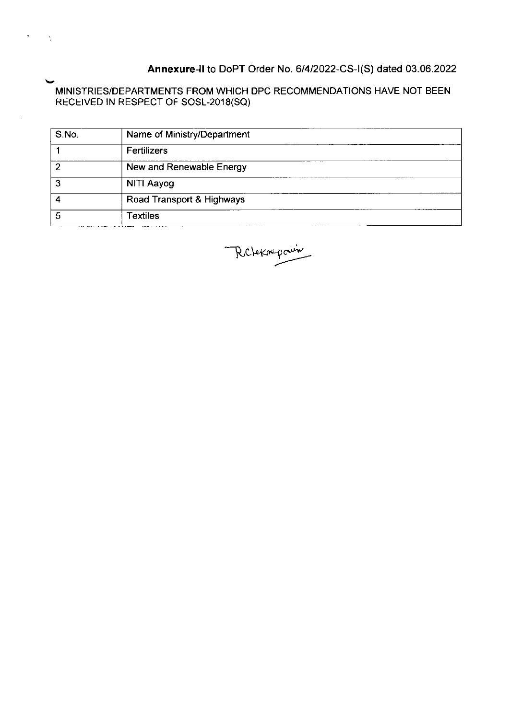## Annexure-II to DoPT Order No. 6/4/2022-CS-I(S) dated 03.06.2022

MINISTRIES/DEPARTMENTS FROM WHICH DPC RECOMMENDATIONS HAVE NOT BEEN RECEIVED IN RESPECT OF SOSL-2018(SQ

 $\frac{\epsilon}{4}$ 

| S.No. | Name of Ministry/Department |
|-------|-----------------------------|
|       | Fertilizers                 |
| 2     | New and Renewable Energy    |
| 3     | NITI Aayog                  |
|       | Road Transport & Highways   |
| 5     | <b>Textiles</b>             |